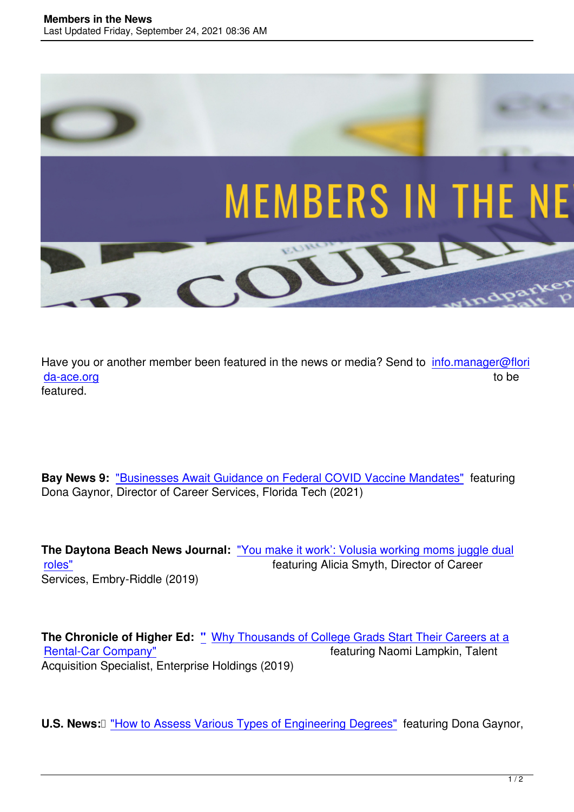

Have you or another member been featured in the news or media? Send to info.manager@flori da-ace.org to be the contract of the contract of the contract of the contract of the contract of the contract of the contract of the contract of the contract of the contract of the contract of the contract of the contract featured.

**Bay News 9:** "Businesses Await Guidance on Federal COVID Vaccine Mandates" featuring Dona Gaynor, Director of Career Services, Florida Tech (2021)

**The Daytona Beach News Journal:** "You make it work': Volusia working moms juggle dual roles" featuring Alicia Smyth, Director of Career Services, Embry-Riddle (2019)

**The Chronicle of Higher Ed: "** Why Thousands of College Grads Start Their Careers at a Rental-Car Company" **Featuring Naomi Lampkin, Talent** Acquisition Specialist, Enterprise Holdings (2019)

**U.S. News:** THow to Assess Various Types of Engineering Degrees" featuring Dona Gaynor,